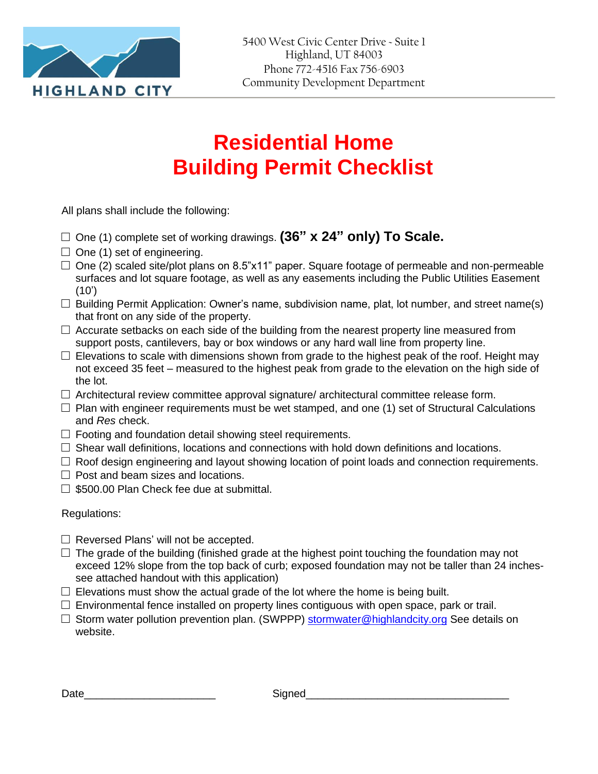

## **Residential Home Building Permit Checklist**

All plans shall include the following:

- □ One (1) complete set of working drawings. **(36" x 24" only) To Scale.**
- $\Box$  One (1) set of engineering.
- $\square$  One (2) scaled site/plot plans on 8.5"x11" paper. Square footage of permeable and non-permeable surfaces and lot square footage, as well as any easements including the Public Utilities Easement (10')
- $\square$  Building Permit Application: Owner's name, subdivision name, plat, lot number, and street name(s) that front on any side of the property.
- $\square$  Accurate setbacks on each side of the building from the nearest property line measured from support posts, cantilevers, bay or box windows or any hard wall line from property line.
- $\square$  Elevations to scale with dimensions shown from grade to the highest peak of the roof. Height may not exceed 35 feet – measured to the highest peak from grade to the elevation on the high side of the lot.
- $\square$  Architectural review committee approval signature/ architectural committee release form.
- $\Box$  Plan with engineer requirements must be wet stamped, and one (1) set of Structural Calculations and *Res* check.
- $\square$  Footing and foundation detail showing steel requirements.
- $\Box$  Shear wall definitions, locations and connections with hold down definitions and locations.
- $\Box$  Roof design engineering and layout showing location of point loads and connection requirements.
- $\Box$  Post and beam sizes and locations.
- □ \$500.00 Plan Check fee due at submittal.

## Regulations:

- $\Box$  Reversed Plans' will not be accepted.
- $\square$  The grade of the building (finished grade at the highest point touching the foundation may not exceed 12% slope from the top back of curb; exposed foundation may not be taller than 24 inchessee attached handout with this application)
- $\square$  Elevations must show the actual grade of the lot where the home is being built.
- $\square$  Environmental fence installed on property lines contiguous with open space, park or trail.
- $\square$  Storm water pollution prevention plan. (SWPPP) [stormwater@highlandcity.org](mailto:stormwater@highlandcity.org) See details on website.

| -<br>-- |  |
|---------|--|
|         |  |